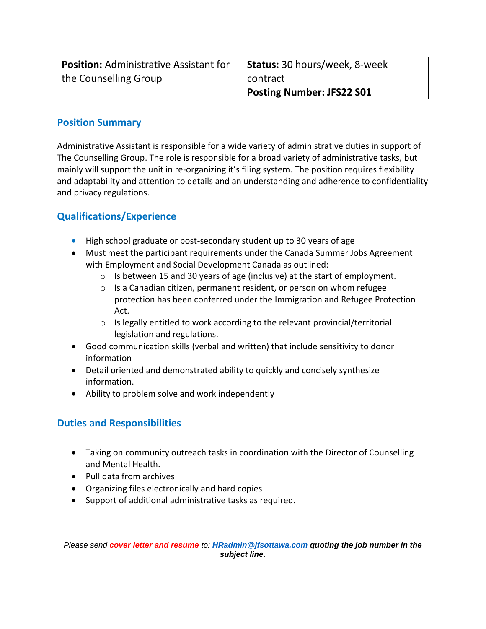| <b>Position: Administrative Assistant for</b> | Status: 30 hours/week, 8-week |
|-----------------------------------------------|-------------------------------|
| the Counselling Group                         | contract                      |
|                                               | Posting Number: JFS22 S01     |

## **Position Summary**

Administrative Assistant is responsible for a wide variety of administrative duties in support of The Counselling Group. The role is responsible for a broad variety of administrative tasks, but mainly will support the unit in re-organizing it's filing system. The position requires flexibility and adaptability and attention to details and an understanding and adherence to confidentiality and privacy regulations.

## **Qualifications/Experience**

- High school graduate or post-secondary student up to 30 years of age
- Must meet the participant requirements under the Canada Summer Jobs Agreement with Employment and Social Development Canada as outlined:
	- o Is between 15 and 30 years of age (inclusive) at the start of employment.
	- o Is a Canadian citizen, permanent resident, or person on whom refugee protection has been conferred under the Immigration and Refugee Protection Act.
	- o Is legally entitled to work according to the relevant provincial/territorial legislation and regulations.
- Good communication skills (verbal and written) that include sensitivity to donor information
- Detail oriented and demonstrated ability to quickly and concisely synthesize information.
- Ability to problem solve and work independently

## **Duties and Responsibilities**

- Taking on community outreach tasks in coordination with the Director of Counselling and Mental Health.
- Pull data from archives
- Organizing files electronically and hard copies
- Support of additional administrative tasks as required.